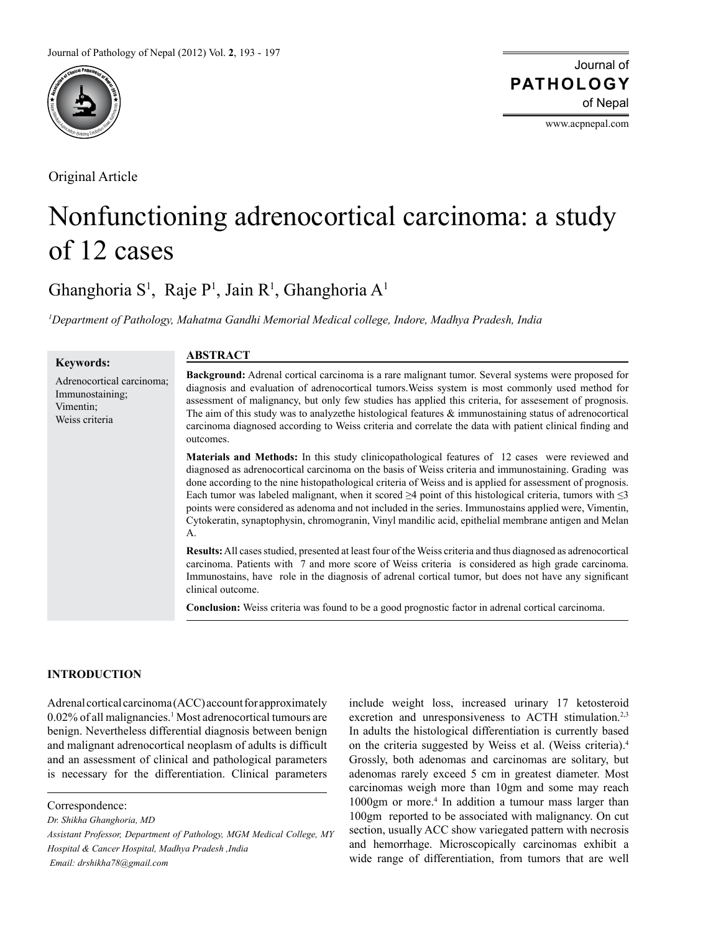

Original Article

Journal of of Nepal **PATHOLOGY**

www.acpnepal.com

# Nonfunctioning adrenocortical carcinoma: a study of 12 cases

Ghanghoria S<sup>1</sup>, Raje P<sup>1</sup>, Jain R<sup>1</sup>, Ghanghoria A<sup>1</sup>

*1 Department of Pathology, Mahatma Gandhi Memorial Medical college, Indore, Madhya Pradesh, India*

**Keywords:**

Adrenocortical carcinoma; Immunostaining; Vimentin; Weiss criteria

# **ABSTRACT**

**Background:** Adrenal cortical carcinoma is a rare malignant tumor. Several systems were proposed for diagnosis and evaluation of adrenocortical tumors.Weiss system is most commonly used method for assessment of malignancy, but only few studies has applied this criteria, for assesement of prognosis. The aim of this study was to analyzethe histological features  $\&$  immunostaining status of adrenocortical carcinoma diagnosed according to Weiss criteria and correlate the data with patient clinical finding and outcomes.

**Materials and Methods:** In this study clinicopathological features of 12 cases were reviewed and diagnosed as adrenocortical carcinoma on the basis of Weiss criteria and immunostaining. Grading was done according to the nine histopathological criteria of Weiss and is applied for assessment of prognosis. Each tumor was labeled malignant, when it scored  $\geq$ 4 point of this histological criteria, tumors with  $\leq$ 3 points were considered as adenoma and not included in the series. Immunostains applied were, Vimentin, Cytokeratin, synaptophysin, chromogranin, Vinyl mandilic acid, epithelial membrane antigen and Melan A.

**Results:** All cases studied, presented at least four of the Weiss criteria and thus diagnosed as adrenocortical carcinoma. Patients with 7 and more score of Weiss criteria is considered as high grade carcinoma. Immunostains, have role in the diagnosis of adrenal cortical tumor, but does not have any significant clinical outcome.

**Conclusion:** Weiss criteria was found to be a good prognostic factor in adrenal cortical carcinoma.

# **INTRODUCTION**

Adrenal cortical carcinoma (ACC) account for approximately 0.02% of all malignancies.<sup>1</sup> Most adrenocortical tumours are benign. Nevertheless differential diagnosis between benign and malignant adrenocortical neoplasm of adults is difficult and an assessment of clinical and pathological parameters is necessary for the differentiation. Clinical parameters

Correspondence:

*Dr. Shikha Ghanghoria, MD*

*Assistant Professor, Department of Pathology, MGM Medical College, MY Hospital & Cancer Hospital, Madhya Pradesh ,India Email: drshikha78@gmail.com*

include weight loss, increased urinary 17 ketosteroid excretion and unresponsiveness to ACTH stimulation.<sup>2,3</sup> In adults the histological differentiation is currently based on the criteria suggested by Weiss et al. (Weiss criteria).4 Grossly, both adenomas and carcinomas are solitary, but adenomas rarely exceed 5 cm in greatest diameter. Most carcinomas weigh more than 10gm and some may reach 1000gm or more.<sup>4</sup> In addition a tumour mass larger than 100gm reported to be associated with malignancy. On cut section, usually ACC show variegated pattern with necrosis and hemorrhage. Microscopically carcinomas exhibit a wide range of differentiation, from tumors that are well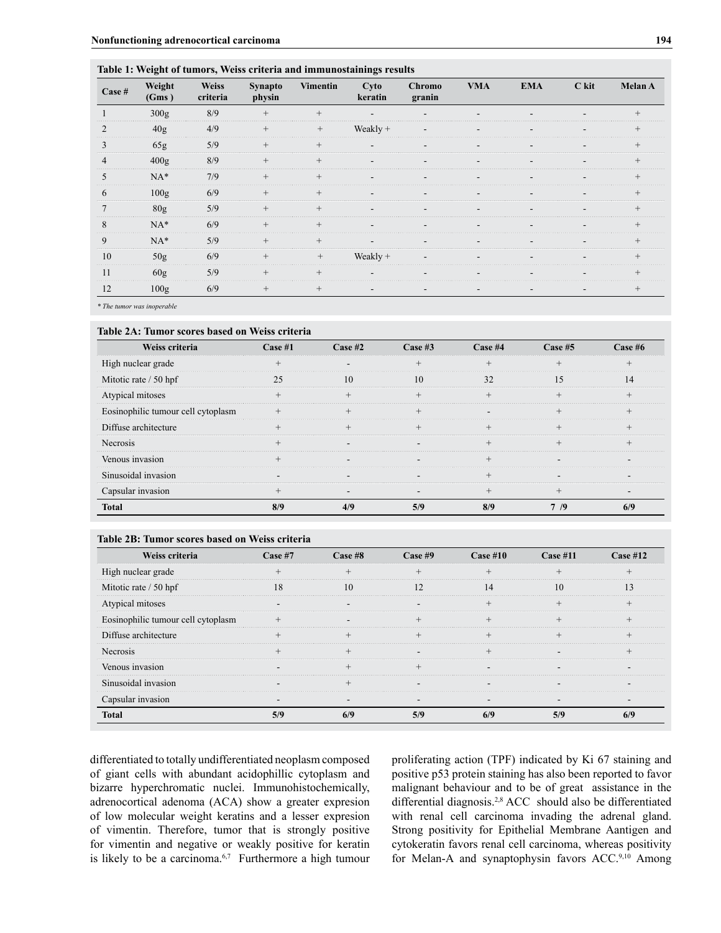#### **Table 1: Weight of tumors, Weiss criteria and immunostainings results**

| Case #         | Weight<br>(Gms)  | <b>Weiss</b><br>criteria | <b>Synapto</b><br>physin | <b>Vimentin</b>   | Cyto<br>keratin          | <b>Chromo</b><br>granin  | <b>VMA</b>               | <b>EMA</b>               | C kit          | <b>Melan A</b> |
|----------------|------------------|--------------------------|--------------------------|-------------------|--------------------------|--------------------------|--------------------------|--------------------------|----------------|----------------|
|                | 300g             | 8/9                      | $^{+}$                   | $^{+}$            |                          | ۰                        |                          |                          |                | $+$            |
| $\overline{c}$ | 40g              | 4/9                      | $^{+}$                   | $+$               | Weakly +                 | ۰                        | $\overline{\phantom{a}}$ | ۰.                       | Ξ.             | $^{+}$         |
| 3              | 65g              | 5/9                      | $^{+}$                   | $^{+}$            | $\overline{\phantom{a}}$ |                          |                          |                          |                | $^{+}$         |
| $\overline{4}$ | 400 <sub>g</sub> | 8/9                      | $^{+}$                   | $^{+}$            | $\blacksquare$           | ۰                        | $\overline{\phantom{a}}$ | Ξ.                       | ۰              | $+$            |
| 5              | $NA*$            | 7/9                      | $\qquad \qquad +$        | $\qquad \qquad +$ | $\overline{\phantom{a}}$ | ۰                        | $\overline{\phantom{a}}$ | -                        | ۰.             | $+$            |
| 6              | 100 <sub>g</sub> | 6/9                      | $^{+}$                   | $^{+}$            | $\overline{\phantom{a}}$ |                          |                          |                          |                | $^{+}$         |
| 7              | 80 <sub>g</sub>  | 5/9                      | $^{+}$                   | $^{+}$            | $\sim$                   | ۰                        | $\overline{\phantom{a}}$ | ۰.                       |                | $^{+}$         |
| 8              | $NA*$            | 6/9                      | $^{+}$                   | $^{+}$            | $\sim$                   |                          | -                        |                          |                | $+$            |
| 9              | $NA*$            | 5/9                      | $^{+}$                   | $^{+}$            |                          | $\equiv$                 |                          |                          |                | $^{+}$         |
| 10             | 50g              | 6/9                      | $^{+}$                   | $^+$              | Weakly +                 | $\overline{\phantom{a}}$ | $\overline{\phantom{a}}$ | $\overline{\phantom{a}}$ | $\blacksquare$ | $+$            |
| 11             | 60 <sub>g</sub>  | 5/9                      | $^{+}$                   | $^{+}$            | $\sim$                   |                          |                          |                          |                | $+$            |
| 12             | 100 <sub>g</sub> | 6/9                      | $^{+}$                   | $^{+}$            | ٠                        | $\overline{\phantom{a}}$ | $\blacksquare$           | ۰.                       |                | $^{+}$         |

*\* The tumor was inoperable* 

#### **Table 2A: Tumor scores based on Weiss criteria**

| Weiss criteria                     | $Case \#1$ | Case #2 | Case $#3$ | Case <sub>#4</sub> | Case <sub>#5</sub> | Case #6 |
|------------------------------------|------------|---------|-----------|--------------------|--------------------|---------|
| High nuclear grade                 |            |         |           |                    |                    |         |
| Mitotic rate / 50 hpf              | 25         | 10      | 10        | 32                 | 15                 | 14      |
| Atypical mitoses                   |            |         |           |                    |                    |         |
| Eosinophilic tumour cell cytoplasm |            |         |           |                    |                    |         |
| Diffuse architecture               |            |         |           |                    |                    |         |
| Necrosis                           |            |         |           |                    |                    |         |
| Venous invasion                    |            |         |           |                    |                    |         |
| Sinusoidal invasion                |            |         |           |                    |                    |         |
| Capsular invasion                  | $^{+}$     |         |           | $^{+}$             | $^{+}$             |         |
| <b>Total</b>                       | 8/9        | 4/9     | 5/9       | 8/9                | 7/9                | 6/9     |

#### **Table 2B: Tumor scores based on Weiss criteria**

| Weiss criteria                     | Case <sub>#7</sub>       | Case <sub>#8</sub> | Case #9 | Case #10                 | $Case \#11$              | $Case \#12$ |
|------------------------------------|--------------------------|--------------------|---------|--------------------------|--------------------------|-------------|
| High nuclear grade                 |                          |                    |         |                          | $^{+}$                   |             |
| Mitotic rate / 50 hpf              | 18                       | 10                 | 12      | 14                       | 10                       | 13          |
| Atypical mitoses                   |                          |                    |         |                          |                          |             |
| Eosinophilic tumour cell cytoplasm |                          |                    |         |                          |                          |             |
| Diffuse architecture               |                          |                    | $^{+}$  | $^{+}$                   |                          | $^{+}$      |
| <b>Necrosis</b>                    |                          |                    |         |                          |                          |             |
| Venous invasion                    |                          |                    |         | ۰.                       |                          |             |
| Sinusoidal invasion                | $\overline{\phantom{a}}$ |                    |         | $\overline{\phantom{a}}$ | $\overline{\phantom{0}}$ |             |
| Capsular invasion                  |                          |                    |         |                          |                          |             |
| <b>Total</b>                       | 5/9                      | 6/9                | 5/9     | 6/9                      | 5/9                      | 6/9         |

differentiated to totally undifferentiated neoplasm composed of giant cells with abundant acidophillic cytoplasm and bizarre hyperchromatic nuclei. Immunohistochemically, adrenocortical adenoma (ACA) show a greater expresion of low molecular weight keratins and a lesser expresion of vimentin. Therefore, tumor that is strongly positive for vimentin and negative or weakly positive for keratin is likely to be a carcinoma.<sup>6,7</sup> Furthermore a high tumour proliferating action (TPF) indicated by Ki 67 staining and positive p53 protein staining has also been reported to favor malignant behaviour and to be of great assistance in the differential diagnosis.2,8 ACC should also be differentiated with renal cell carcinoma invading the adrenal gland. Strong positivity for Epithelial Membrane Aantigen and cytokeratin favors renal cell carcinoma, whereas positivity for Melan-A and synaptophysin favors ACC.<sup>9,10</sup> Among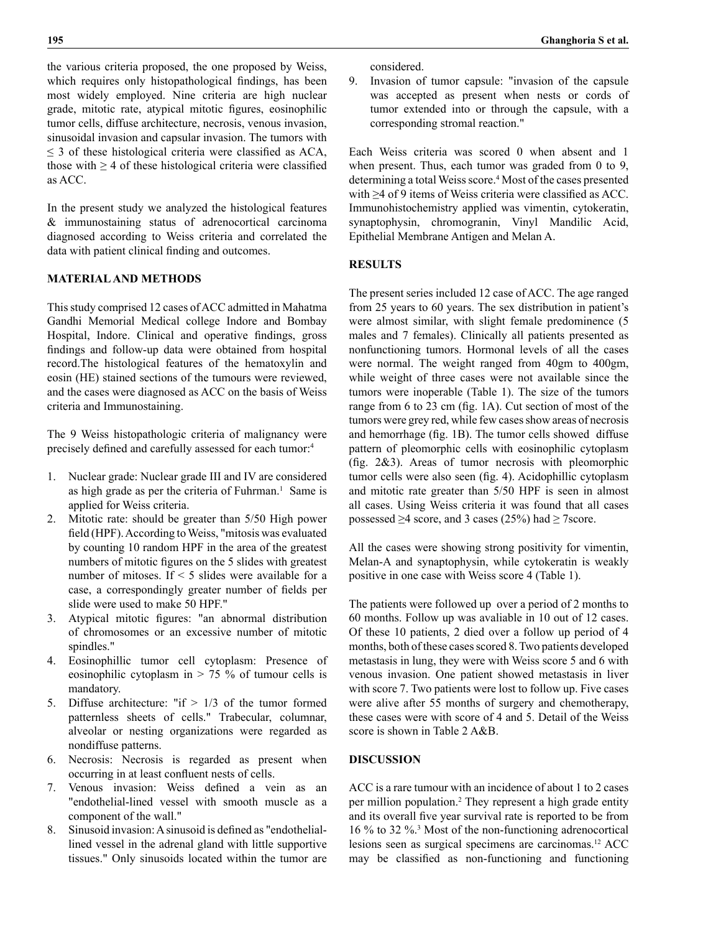the various criteria proposed, the one proposed by Weiss, which requires only histopathological findings, has been most widely employed. Nine criteria are high nuclear grade, mitotic rate, atypical mitotic figures, eosinophilic tumor cells, diffuse architecture, necrosis, venous invasion, sinusoidal invasion and capsular invasion. The tumors with  $\leq$  3 of these histological criteria were classified as ACA, those with  $\geq$  4 of these histological criteria were classified as ACC.

In the present study we analyzed the histological features & immunostaining status of adrenocortical carcinoma diagnosed according to Weiss criteria and correlated the data with patient clinical finding and outcomes.

### **MATERIAL AND METHODS**

This study comprised 12 cases of ACC admitted in Mahatma Gandhi Memorial Medical college Indore and Bombay Hospital, Indore. Clinical and operative findings, gross findings and follow-up data were obtained from hospital record.The histological features of the hematoxylin and eosin (HE) stained sections of the tumours were reviewed, and the cases were diagnosed as ACC on the basis of Weiss criteria and Immunostaining.

The 9 Weiss histopathologic criteria of malignancy were precisely defined and carefully assessed for each tumor:<sup>4</sup>

- 1. Nuclear grade: Nuclear grade III and IV are considered as high grade as per the criteria of Fuhrman.<sup>1</sup> Same is applied for Weiss criteria.
- Mitotic rate: should be greater than 5/50 High power field (HPF). According to Weiss, "mitosis was evaluated by counting 10 random HPF in the area of the greatest numbers of mitotic figures on the 5 slides with greatest number of mitoses. If < 5 slides were available for a case, a correspondingly greater number of fields per slide were used to make 50 HPF."
- 3. Atypical mitotic figures: "an abnormal distribution of chromosomes or an excessive number of mitotic spindles."
- 4. Eosinophillic tumor cell cytoplasm: Presence of eosinophilic cytoplasm in  $> 75$  % of tumour cells is mandatory.
- 5. Diffuse architecture: "if  $> 1/3$  of the tumor formed patternless sheets of cells." Trabecular, columnar, alveolar or nesting organizations were regarded as nondiffuse patterns.
- 6. Necrosis: Necrosis is regarded as present when occurring in at least confluent nests of cells.
- 7. Venous invasion: Weiss defined a vein as an "endothelial-lined vessel with smooth muscle as a component of the wall."
- 8. Sinusoid invasion: A sinusoid is defined as "endotheliallined vessel in the adrenal gland with little supportive tissues." Only sinusoids located within the tumor are

considered.

9. Invasion of tumor capsule: "invasion of the capsule was accepted as present when nests or cords of tumor extended into or through the capsule, with a corresponding stromal reaction."

Each Weiss criteria was scored 0 when absent and 1 when present. Thus, each tumor was graded from 0 to 9, determining a total Weiss score.<sup>4</sup> Most of the cases presented with ≥4 of 9 items of Weiss criteria were classified as ACC. Immunohistochemistry applied was vimentin, cytokeratin, synaptophysin, chromogranin, Vinyl Mandilic Acid, Epithelial Membrane Antigen and Melan A.

#### **RESULTS**

The present series included 12 case of ACC. The age ranged from 25 years to 60 years. The sex distribution in patient's were almost similar, with slight female predominence (5 males and 7 females). Clinically all patients presented as nonfunctioning tumors. Hormonal levels of all the cases were normal. The weight ranged from 40gm to 400gm, while weight of three cases were not available since the tumors were inoperable (Table 1). The size of the tumors range from 6 to 23 cm (fig. 1A). Cut section of most of the tumors were grey red, while few cases show areas of necrosis and hemorrhage (fig. 1B). The tumor cells showed diffuse pattern of pleomorphic cells with eosinophilic cytoplasm (fig. 2&3). Areas of tumor necrosis with pleomorphic tumor cells were also seen (fig. 4). Acidophillic cytoplasm and mitotic rate greater than 5/50 HPF is seen in almost all cases. Using Weiss criteria it was found that all cases possessed  $\geq$ 4 score, and 3 cases (25%) had  $\geq$  7 score.

All the cases were showing strong positivity for vimentin, Melan-A and synaptophysin, while cytokeratin is weakly positive in one case with Weiss score 4 (Table 1).

The patients were followed up over a period of 2 months to 60 months. Follow up was avaliable in 10 out of 12 cases. Of these 10 patients, 2 died over a follow up period of 4 months, both of these cases scored 8. Two patients developed metastasis in lung, they were with Weiss score 5 and 6 with venous invasion. One patient showed metastasis in liver with score 7. Two patients were lost to follow up. Five cases were alive after 55 months of surgery and chemotherapy, these cases were with score of 4 and 5. Detail of the Weiss score is shown in Table 2 A&B.

#### **DISCUSSION**

ACC is a rare tumour with an incidence of about 1 to 2 cases per million population.<sup>2</sup> They represent a high grade entity and its overall five year survival rate is reported to be from 16 % to 32 %.3 Most of the non-functioning adrenocortical lesions seen as surgical specimens are carcinomas.12 ACC may be classified as non-functioning and functioning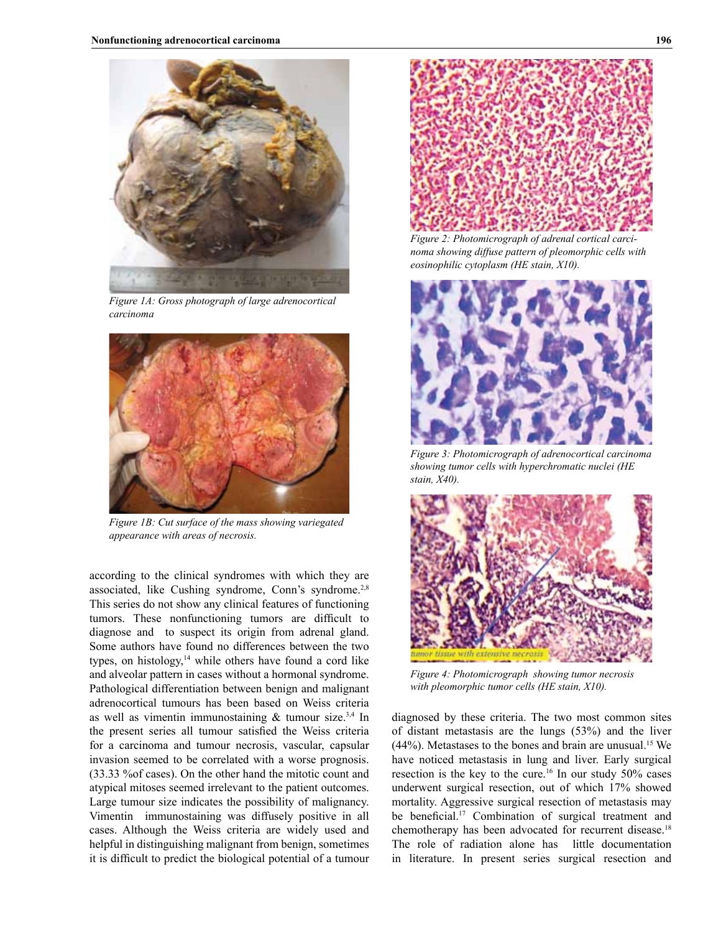

*Figure 1A: Gross photograph of large adrenocortical carcinoma* 



*Figure 1B: Cut surface of the mass showing variegated appearance with areas of necrosis.*

according to the clinical syndromes with which they are associated, like Cushing syndrome, Conn's syndrome.<sup>2,8</sup> This series do not show any clinical features of functioning tumors. These nonfunctioning tumors are difficult to diagnose and to suspect its origin from adrenal gland. Some authors have found no differences between the two types, on histology,<sup>14</sup> while others have found a cord like and alveolar pattern in cases without a hormonal syndrome. Pathological differentiation between benign and malignant adrenocortical tumours has been based on Weiss criteria as well as vimentin immunostaining  $&$  tumour size.<sup>3,4</sup> In the present series all tumour satisfied the Weiss criteria for a carcinoma and tumour necrosis, vascular, capsular invasion seemed to be correlated with a worse prognosis. (33.33 %of cases). On the other hand the mitotic count and atypical mitoses seemed irrelevant to the patient outcomes. Large tumour size indicates the possibility of malignancy. Vimentin immunostaining was diffusely positive in all cases. Although the Weiss criteria are widely used and helpful in distinguishing malignant from benign, sometimes it is difficult to predict the biological potential of a tumour



*Figure 2: Photomicrograph of adrenal cortical carcinoma showing diffuse pattern of pleomorphic cells with eosinophilic cytoplasm (HE stain, X10).*



*Figure 3: Photomicrograph of adrenocortical carcinoma showing tumor cells with hyperchromatic nuclei (HE stain, X40).*



*Figure 4: Photomicrograph showing tumor necrosis with pleomorphic tumor cells (HE stain, X10).*

diagnosed by these criteria. The two most common sites of distant metastasis are the lungs (53%) and the liver  $(44%)$ . Metastases to the bones and brain are unusual.<sup>15</sup> We have noticed metastasis in lung and liver. Early surgical resection is the key to the cure.<sup>16</sup> In our study  $50\%$  cases underwent surgical resection, out of which 17% showed mortality. Aggressive surgical resection of metastasis may be beneficial.<sup>17</sup> Combination of surgical treatment and chemotherapy has been advocated for recurrent disease.<sup>18</sup> The role of radiation alone has little documentation in literature. In present series surgical resection and